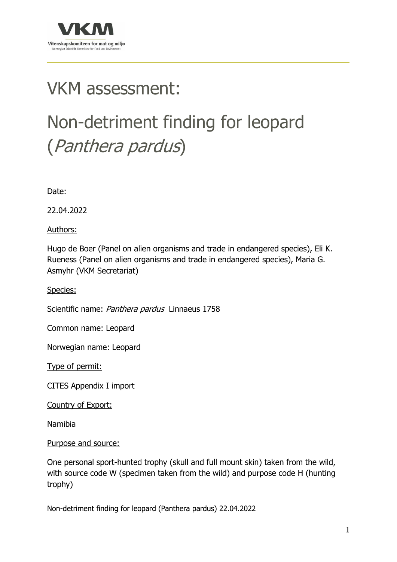

## VKM assessment:

# Non-detriment finding for leopard (Panthera pardus)

Date:

22.04.2022

Authors:

Hugo de Boer (Panel on alien organisms and trade in endangered species), Eli K. Rueness (Panel on alien organisms and trade in endangered species), Maria G. Asmyhr (VKM Secretariat)

Species:

Scientific name: Panthera pardus Linnaeus 1758

Common name: Leopard

Norwegian name: Leopard

Type of permit:

CITES Appendix I import

Country of Export:

Namibia

#### Purpose and source:

One personal sport-hunted trophy (skull and full mount skin) taken from the wild, with source code W (specimen taken from the wild) and purpose code H (hunting trophy)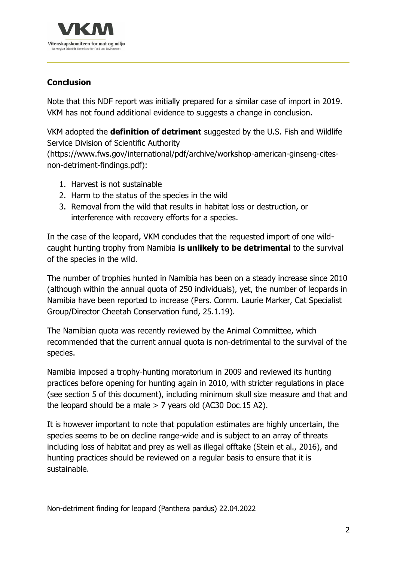

## **Conclusion**

Note that this NDF report was initially prepared for a similar case of import in 2019. VKM has not found additional evidence to suggests a change in conclusion.

VKM adopted the **definition of detriment** suggested by the U.S. Fish and Wildlife Service Division of Scientific Authority

(https://www.fws.gov/international/pdf/archive/workshop-american-ginseng-citesnon-detriment-findings.pdf):

- 1. Harvest is not sustainable
- 2. Harm to the status of the species in the wild
- 3. Removal from the wild that results in habitat loss or destruction, or interference with recovery efforts for a species.

In the case of the leopard, VKM concludes that the requested import of one wildcaught hunting trophy from Namibia **is unlikely to be detrimental** to the survival of the species in the wild.

The number of trophies hunted in Namibia has been on a steady increase since 2010 (although within the annual quota of 250 individuals), yet, the number of leopards in Namibia have been reported to increase (Pers. Comm. Laurie Marker, Cat Specialist Group/Director Cheetah Conservation fund, 25.1.19).

The Namibian quota was recently reviewed by the Animal Committee, which recommended that the current annual quota is non-detrimental to the survival of the species.

Namibia imposed a trophy-hunting moratorium in 2009 and reviewed its hunting practices before opening for hunting again in 2010, with stricter regulations in place (see section 5 of this document), including minimum skull size measure and that and the leopard should be a male > 7 years old (AC30 Doc.15 A2).

It is however important to note that population estimates are highly uncertain, the species seems to be on decline range-wide and is subject to an array of threats including loss of habitat and prey as well as illegal offtake (Stein et al., 2016), and hunting practices should be reviewed on a regular basis to ensure that it is sustainable.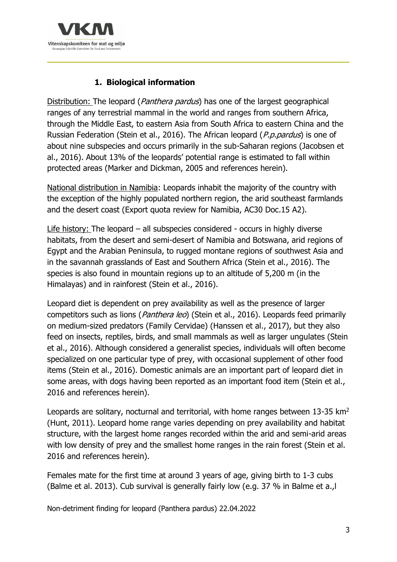

## **1. Biological information**

Distribution: The leopard (*Panthera pardus*) has one of the largest geographical ranges of any terrestrial mammal in the world and ranges from southern Africa, through the Middle East, to eastern Asia from South Africa to eastern China and the Russian Federation (Stein et al., 2016). The African leopard (P.p.pardus) is one of about nine subspecies and occurs primarily in the sub-Saharan regions (Jacobsen et al., 2016). About 13% of the leopards' potential range is estimated to fall within protected areas (Marker and Dickman, 2005 and references herein).

National distribution in Namibia: Leopards inhabit the majority of the country with the exception of the highly populated northern region, the arid southeast farmlands and the desert coast (Export quota review for Namibia, AC30 Doc.15 A2).

Life history: The leopard – all subspecies considered - occurs in highly diverse habitats, from the desert and semi-desert of Namibia and Botswana, arid regions of Egypt and the Arabian Peninsula, to rugged montane regions of southwest Asia and in the savannah grasslands of East and Southern Africa (Stein et al., 2016). The species is also found in mountain regions up to an altitude of 5,200 m (in the Himalayas) and in rainforest (Stein et al., 2016).

Leopard diet is dependent on prey availability as well as the presence of larger competitors such as lions (*Panthera leo*) (Stein et al., 2016). Leopards feed primarily on medium-sized predators (Family Cervidae) (Hanssen et al., 2017), but they also feed on insects, reptiles, birds, and small mammals as well as larger ungulates (Stein et al., 2016). Although considered a generalist species, individuals will often become specialized on one particular type of prey, with occasional supplement of other food items (Stein et al., 2016). Domestic animals are an important part of leopard diet in some areas, with dogs having been reported as an important food item (Stein et al., 2016 and references herein).

Leopards are solitary, nocturnal and territorial, with home ranges between  $13-35 \text{ km}^2$ (Hunt, 2011). Leopard home range varies depending on prey availability and habitat structure, with the largest home ranges recorded within the arid and semi-arid areas with low density of prey and the smallest home ranges in the rain forest (Stein et al. 2016 and references herein).

Females mate for the first time at around 3 years of age, giving birth to 1-3 cubs (Balme et al. 2013). Cub survival is generally fairly low (e.g. 37 % in Balme et a.,l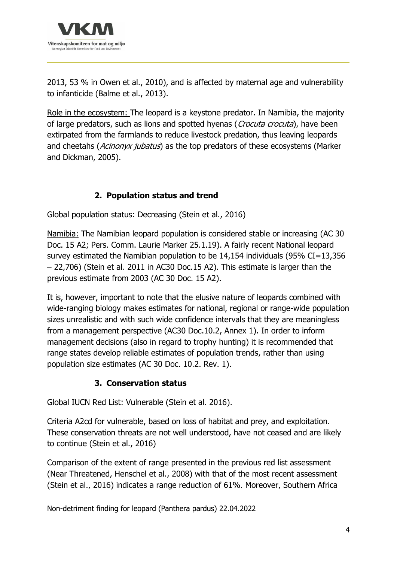

2013, 53 % in Owen et al., 2010), and is affected by maternal age and vulnerability to infanticide (Balme et al., 2013).

Role in the ecosystem: The leopard is a keystone predator. In Namibia, the majority of large predators, such as lions and spotted hyenas (Crocuta crocuta), have been extirpated from the farmlands to reduce livestock predation, thus leaving leopards and cheetahs (Acinonyx jubatus) as the top predators of these ecosystems (Marker and Dickman, 2005).

## **2. Population status and trend**

Global population status: Decreasing (Stein et al., 2016)

Namibia: The Namibian leopard population is considered stable or increasing (AC 30 Doc. 15 A2; Pers. Comm. Laurie Marker 25.1.19). A fairly recent National leopard survey estimated the Namibian population to be 14,154 individuals (95% CI=13,356 – 22,706) (Stein et al. 2011 in AC30 Doc.15 A2). This estimate is larger than the previous estimate from 2003 (AC 30 Doc. 15 A2).

It is, however, important to note that the elusive nature of leopards combined with wide-ranging biology makes estimates for national, regional or range-wide population sizes unrealistic and with such wide confidence intervals that they are meaningless from a management perspective (AC30 Doc.10.2, Annex 1). In order to inform management decisions (also in regard to trophy hunting) it is recommended that range states develop reliable estimates of population trends, rather than using population size estimates (AC 30 Doc. 10.2. Rev. 1).

#### **3. Conservation status**

Global IUCN Red List: Vulnerable (Stein et al. 2016).

Criteria A2cd for vulnerable, based on loss of habitat and prey, and exploitation. These conservation threats are not well understood, have not ceased and are likely to continue (Stein et al., 2016)

Comparison of the extent of range presented in the previous red list assessment (Near Threatened, Henschel et al., 2008) with that of the most recent assessment (Stein et al., 2016) indicates a range reduction of 61%. Moreover, Southern Africa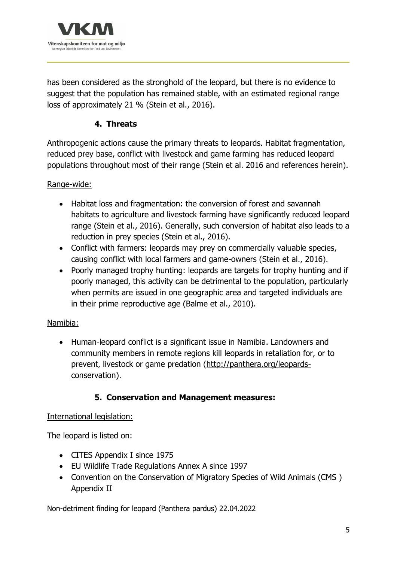

has been considered as the stronghold of the leopard, but there is no evidence to suggest that the population has remained stable, with an estimated regional range loss of approximately 21 % (Stein et al., 2016).

#### **4. Threats**

Anthropogenic actions cause the primary threats to leopards. Habitat fragmentation, reduced prey base, conflict with livestock and game farming has reduced leopard populations throughout most of their range (Stein et al. 2016 and references herein).

#### Range-wide:

- Habitat loss and fragmentation: the conversion of forest and savannah habitats to agriculture and livestock farming have significantly reduced leopard range (Stein et al., 2016). Generally, such conversion of habitat also leads to a reduction in prey species (Stein et al., 2016).
- Conflict with farmers: leopards may prey on commercially valuable species, causing conflict with local farmers and game-owners (Stein et al., 2016).
- Poorly managed trophy hunting: leopards are targets for trophy hunting and if poorly managed, this activity can be detrimental to the population, particularly when permits are issued in one geographic area and targeted individuals are in their prime reproductive age (Balme et al., 2010).

#### Namibia:

• Human-leopard conflict is a significant issue in Namibia. Landowners and community members in remote regions kill leopards in retaliation for, or to prevent, livestock or game predation (http://panthera.org/leopardsconservation).

#### **5. Conservation and Management measures:**

#### International legislation:

The leopard is listed on:

- CITES Appendix I since 1975
- EU Wildlife Trade Regulations Annex A since 1997
- Convention on the Conservation of Migratory Species of Wild Animals (CMS ) Appendix II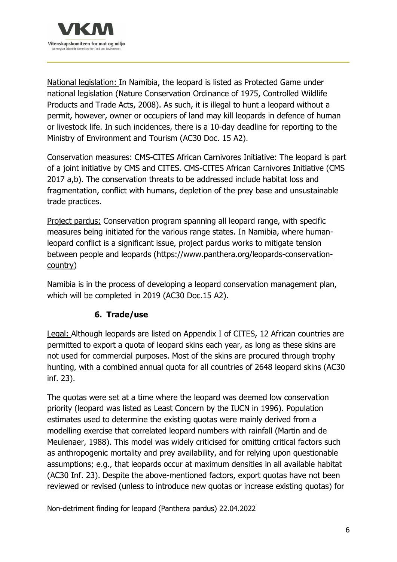

National legislation: In Namibia, the leopard is listed as Protected Game under national legislation (Nature Conservation Ordinance of 1975, Controlled Wildlife Products and Trade Acts, 2008). As such, it is illegal to hunt a leopard without a permit, however, owner or occupiers of land may kill leopards in defence of human or livestock life. In such incidences, there is a 10-day deadline for reporting to the Ministry of Environment and Tourism (AC30 Doc. 15 A2).

Conservation measures: CMS-CITES African Carnivores Initiative: The leopard is part of a joint initiative by CMS and CITES. CMS-CITES African Carnivores Initiative (CMS 2017 a,b). The conservation threats to be addressed include habitat loss and fragmentation, conflict with humans, depletion of the prey base and unsustainable trade practices.

Project pardus: Conservation program spanning all leopard range, with specific measures being initiated for the various range states. In Namibia, where humanleopard conflict is a significant issue, project pardus works to mitigate tension between people and leopards (https://www.panthera.org/leopards-conservationcountry)

Namibia is in the process of developing a leopard conservation management plan, which will be completed in 2019 (AC30 Doc.15 A2).

## **6. Trade/use**

Legal: Although leopards are listed on Appendix I of CITES, 12 African countries are permitted to export a quota of leopard skins each year, as long as these skins are not used for commercial purposes. Most of the skins are procured through trophy hunting, with a combined annual quota for all countries of 2648 leopard skins (AC30 inf. 23).

The quotas were set at a time where the leopard was deemed low conservation priority (leopard was listed as Least Concern by the IUCN in 1996). Population estimates used to determine the existing quotas were mainly derived from a modelling exercise that correlated leopard numbers with rainfall (Martin and de Meulenaer, 1988). This model was widely criticised for omitting critical factors such as anthropogenic mortality and prey availability, and for relying upon questionable assumptions; e.g., that leopards occur at maximum densities in all available habitat (AC30 Inf. 23). Despite the above-mentioned factors, export quotas have not been reviewed or revised (unless to introduce new quotas or increase existing quotas) for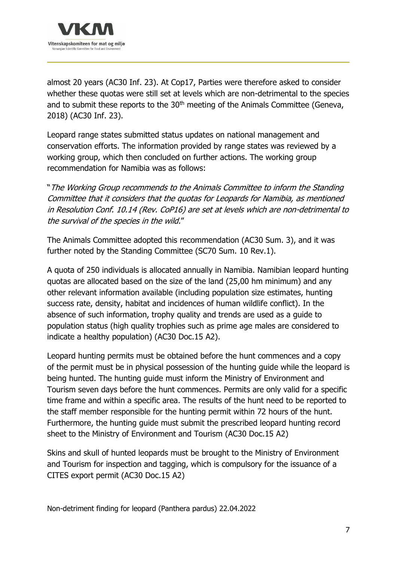

almost 20 years (AC30 Inf. 23). At Cop17, Parties were therefore asked to consider whether these quotas were still set at levels which are non-detrimental to the species and to submit these reports to the  $30<sup>th</sup>$  meeting of the Animals Committee (Geneva, 2018) (AC30 Inf. 23).

Leopard range states submitted status updates on national management and conservation efforts. The information provided by range states was reviewed by a working group, which then concluded on further actions. The working group recommendation for Namibia was as follows:

"The Working Group recommends to the Animals Committee to inform the Standing Committee that it considers that the quotas for Leopards for Namibia, as mentioned in Resolution Conf. 10.14 (Rev. CoP16) are set at levels which are non-detrimental to the survival of the species in the wild."

The Animals Committee adopted this recommendation (AC30 Sum. 3), and it was further noted by the Standing Committee (SC70 Sum. 10 Rev.1).

A quota of 250 individuals is allocated annually in Namibia. Namibian leopard hunting quotas are allocated based on the size of the land (25,00 hm minimum) and any other relevant information available (including population size estimates, hunting success rate, density, habitat and incidences of human wildlife conflict). In the absence of such information, trophy quality and trends are used as a guide to population status (high quality trophies such as prime age males are considered to indicate a healthy population) (AC30 Doc.15 A2).

Leopard hunting permits must be obtained before the hunt commences and a copy of the permit must be in physical possession of the hunting guide while the leopard is being hunted. The hunting guide must inform the Ministry of Environment and Tourism seven days before the hunt commences. Permits are only valid for a specific time frame and within a specific area. The results of the hunt need to be reported to the staff member responsible for the hunting permit within 72 hours of the hunt. Furthermore, the hunting guide must submit the prescribed leopard hunting record sheet to the Ministry of Environment and Tourism (AC30 Doc.15 A2)

Skins and skull of hunted leopards must be brought to the Ministry of Environment and Tourism for inspection and tagging, which is compulsory for the issuance of a CITES export permit (AC30 Doc.15 A2)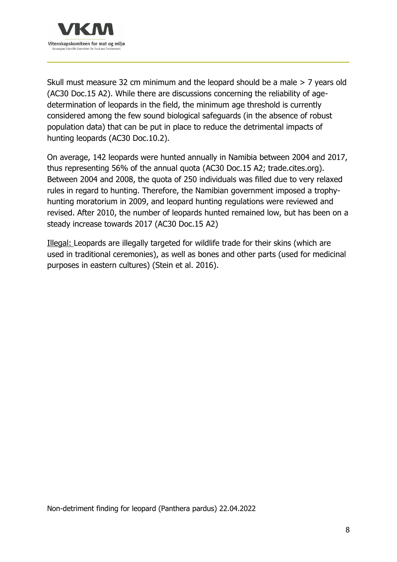

Skull must measure 32 cm minimum and the leopard should be a male > 7 years old (AC30 Doc.15 A2). While there are discussions concerning the reliability of agedetermination of leopards in the field, the minimum age threshold is currently considered among the few sound biological safeguards (in the absence of robust population data) that can be put in place to reduce the detrimental impacts of hunting leopards (AC30 Doc.10.2).

On average, 142 leopards were hunted annually in Namibia between 2004 and 2017, thus representing 56% of the annual quota (AC30 Doc.15 A2; trade.cites.org). Between 2004 and 2008, the quota of 250 individuals was filled due to very relaxed rules in regard to hunting. Therefore, the Namibian government imposed a trophyhunting moratorium in 2009, and leopard hunting regulations were reviewed and revised. After 2010, the number of leopards hunted remained low, but has been on a steady increase towards 2017 (AC30 Doc.15 A2)

Illegal: Leopards are illegally targeted for wildlife trade for their skins (which are used in traditional ceremonies), as well as bones and other parts (used for medicinal purposes in eastern cultures) (Stein et al. 2016).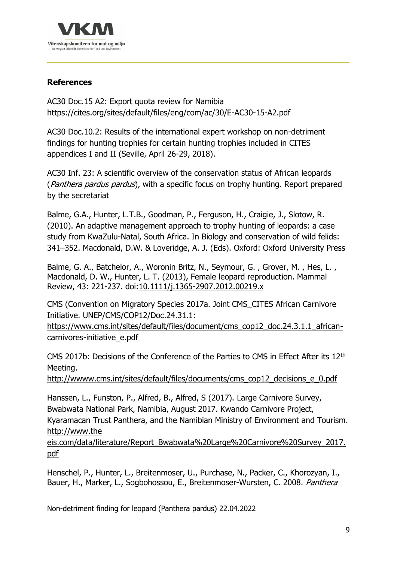

#### **References**

AC30 Doc.15 A2: Export quota review for Namibia https://cites.org/sites/default/files/eng/com/ac/30/E-AC30-15-A2.pdf

AC30 Doc.10.2: Results of the international expert workshop on non-detriment findings for hunting trophies for certain hunting trophies included in CITES appendices I and II (Seville, April 26-29, 2018).

AC30 Inf. 23: A scientific overview of the conservation status of African leopards (*Panthera pardus pardus*), with a specific focus on trophy hunting. Report prepared by the secretariat

Balme, G.A., Hunter, L.T.B., Goodman, P., Ferguson, H., Craigie, J., Slotow, R. (2010). An adaptive management approach to trophy hunting of leopards: a case study from KwaZulu-Natal, South Africa. In Biology and conservation of wild felids: 341–352. Macdonald, D.W. & Loveridge, A. J. (Eds). Oxford: Oxford University Press

Balme, G. A., Batchelor, A., Woronin Britz, N., Seymour, G., Grover, M., Hes, L., Macdonald, D. W., Hunter, L. T. (2013), Female leopard reproduction. Mammal Review, 43: 221-237. doi:10.1111/j.1365-2907.2012.00219.x

CMS (Convention on Migratory Species 2017a. Joint CMS\_CITES African Carnivore Initiative. UNEP/CMS/COP12/Doc.24.31.1:

https://www.cms.int/sites/default/files/document/cms\_cop12\_doc.24.3.1.1\_africancarnivores-initiative\_e.pdf

CMS 2017b: Decisions of the Conference of the Parties to CMS in Effect After its 12th Meeting.

http://wwww.cms.int/sites/default/files/documents/cms\_cop12\_decisions\_e\_0.pdf

Hanssen, L., Funston, P., Alfred, B., Alfred, S (2017). Large Carnivore Survey, Bwabwata National Park, Namibia, August 2017. Kwando Carnivore Project, Kyaramacan Trust Panthera, and the Namibian Ministry of Environment and Tourism. http://www.the

eis.com/data/literature/Report\_Bwabwata%20Large%20Carnivore%20Survey\_2017. pdf

Henschel, P., Hunter, L., Breitenmoser, U., Purchase, N., Packer, C., Khorozyan, I., Bauer, H., Marker, L., Sogbohossou, E., Breitenmoser-Wursten, C. 2008. Panthera